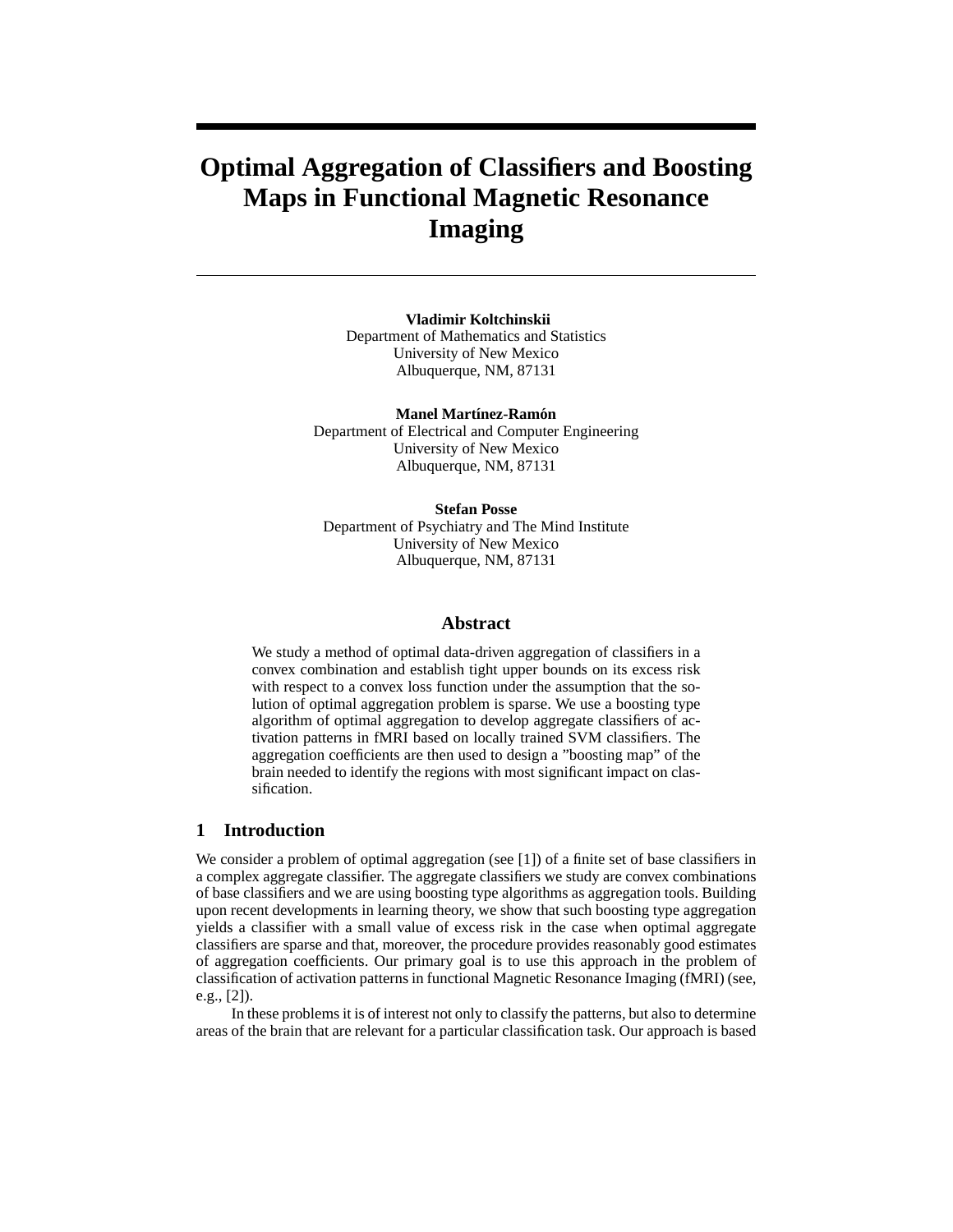# **Optimal Aggregation of Classifiers and Boosting Maps in Functional Magnetic Resonance Imaging**

**Vladimir Koltchinskii** Department of Mathematics and Statistics University of New Mexico Albuquerque, NM, 87131

**Manel Martínez-Ramón** Department of Electrical and Computer Engineering University of New Mexico Albuquerque, NM, 87131

**Stefan Posse** Department of Psychiatry and The Mind Institute University of New Mexico Albuquerque, NM, 87131

# **Abstract**

We study a method of optimal data-driven aggregation of classifiers in a convex combination and establish tight upper bounds on its excess risk with respect to a convex loss function under the assumption that the solution of optimal aggregation problem is sparse. We use a boosting type algorithm of optimal aggregation to develop aggregate classifiers of activation patterns in fMRI based on locally trained SVM classifiers. The aggregation coefficients are then used to design a "boosting map" of the brain needed to identify the regions with most significant impact on classification.

# **1 Introduction**

We consider a problem of optimal aggregation (see [1]) of a finite set of base classifiers in a complex aggregate classifier. The aggregate classifiers we study are convex combinations of base classifiers and we are using boosting type algorithms as aggregation tools. Building upon recent developments in learning theory, we show that such boosting type aggregation yields a classifier with a small value of excess risk in the case when optimal aggregate classifiers are sparse and that, moreover, the procedure provides reasonably good estimates of aggregation coefficients. Our primary goal is to use this approach in the problem of classification of activation patterns in functional Magnetic Resonance Imaging (fMRI) (see, e.g., [2]).

In these problems it is of interest not only to classify the patterns, but also to determine areas of the brain that are relevant for a particular classification task. Our approach is based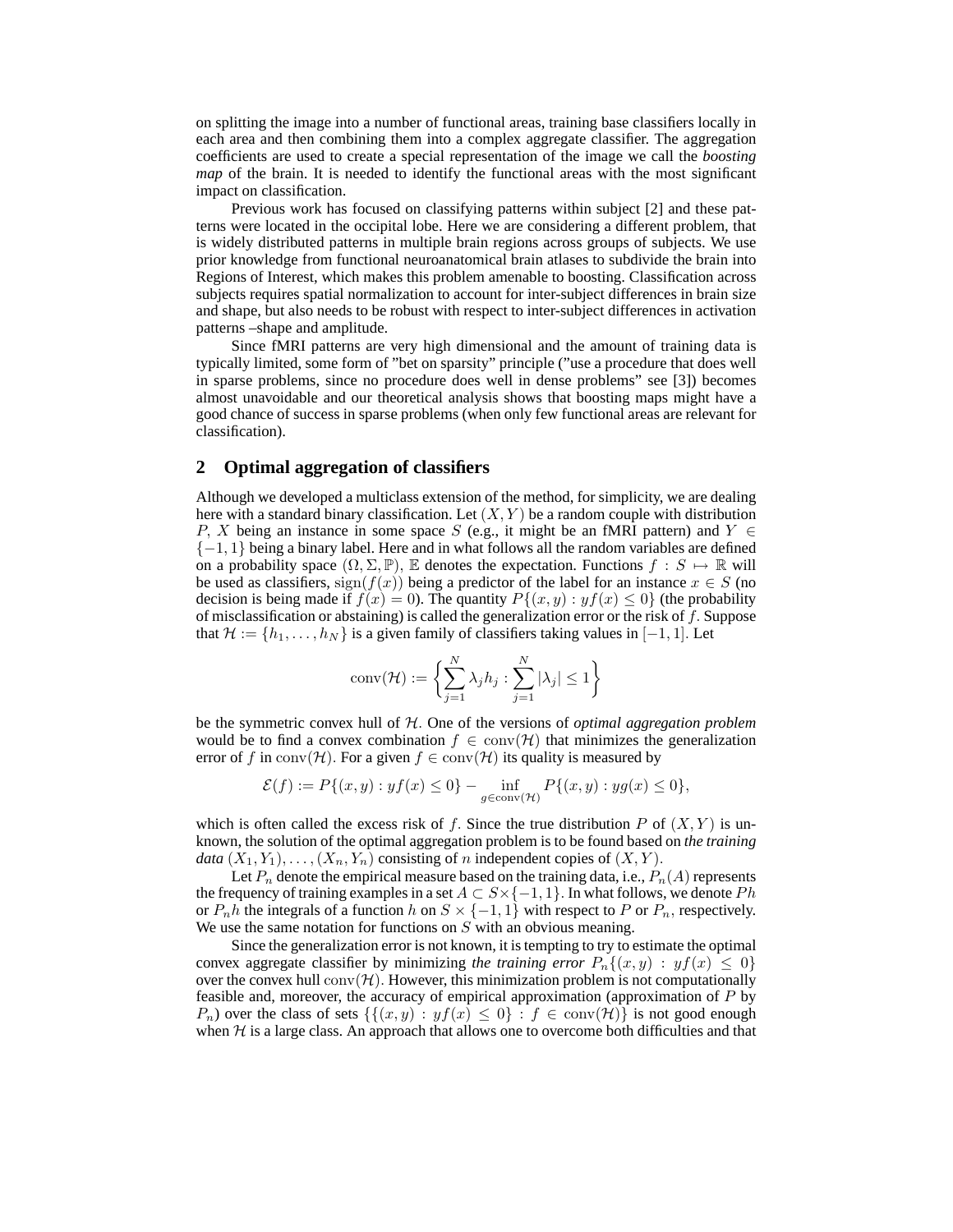on splitting the image into a number of functional areas, training base classifiers locally in each area and then combining them into a complex aggregate classifier. The aggregation coefficients are used to create a special representation of the image we call the *boosting map* of the brain. It is needed to identify the functional areas with the most significant impact on classification.

Previous work has focused on classifying patterns within subject [2] and these patterns were located in the occipital lobe. Here we are considering a different problem, that is widely distributed patterns in multiple brain regions across groups of subjects. We use prior knowledge from functional neuroanatomical brain atlases to subdivide the brain into Regions of Interest, which makes this problem amenable to boosting. Classification across subjects requires spatial normalization to account for inter-subject differences in brain size and shape, but also needs to be robust with respect to inter-subject differences in activation patterns –shape and amplitude.

Since fMRI patterns are very high dimensional and the amount of training data is typically limited, some form of "bet on sparsity" principle ("use a procedure that does well in sparse problems, since no procedure does well in dense problems" see [3]) becomes almost unavoidable and our theoretical analysis shows that boosting maps might have a good chance of success in sparse problems (when only few functional areas are relevant for classification).

## **2 Optimal aggregation of classifiers**

Although we developed a multiclass extension of the method, for simplicity, we are dealing here with a standard binary classification. Let  $(X, Y)$  be a random couple with distribution P, X being an instance in some space S (e.g., it might be an fMRI pattern) and  $Y \in$  $\{-1, 1\}$  being a binary label. Here and in what follows all the random variables are defined on a probability space  $(\Omega, \Sigma, \mathbb{P})$ , E denotes the expectation. Functions  $f : S \mapsto \mathbb{R}$  will be used as classifiers,  $sign(f(x))$  being a predictor of the label for an instance  $x \in S$  (no decision is being made if  $f(x) = 0$ ). The quantity  $P\{(x, y) : yf(x) \le 0\}$  (the probability of misclassification or abstaining) is called the generalization error or the risk of  $f$ . Suppose that  $\mathcal{H} := \{h_1, \ldots, h_N\}$  is a given family of classifiers taking values in [−1, 1]. Let

$$
conv(\mathcal{H}) := \left\{ \sum_{j=1}^{N} \lambda_j h_j : \sum_{j=1}^{N} |\lambda_j| \le 1 \right\}
$$

be the symmetric convex hull of H. One of the versions of *optimal aggregation problem* would be to find a convex combination  $f \in \text{conv}(\mathcal{H})$  that minimizes the generalization error of f in conv( $\mathcal{H}$ ). For a given  $f \in \text{conv}(\mathcal{H})$  its quality is measured by

$$
\mathcal{E}(f):=P\{(x,y): yf(x)\leq 0\}-\inf_{g\in\mathrm{conv}(\mathcal{H})}P\{(x,y):yg(x)\leq 0\},
$$

which is often called the excess risk of f. Since the true distribution P of  $(X, Y)$  is unknown, the solution of the optimal aggregation problem is to be found based on *the training data*  $(X_1, Y_1), \ldots, (X_n, Y_n)$  consisting of *n* independent copies of  $(X, Y)$ .

Let  $P_n$  denote the empirical measure based on the training data, i.e.,  $P_n(A)$  represents the frequency of training examples in a set  $A\subset S\times\{-1,1\}.$  In what follows, we denote  $Ph$ or  $P_n h$  the integrals of a function h on  $S \times \{-1,1\}$  with respect to P or  $P_n$ , respectively. We use the same notation for functions on  $S$  with an obvious meaning.

Since the generalization error is not known, it is tempting to try to estimate the optimal convex aggregate classifier by minimizing *the training error*  $P_n\{(x, y) : yf(x) \leq 0\}$ over the convex hull  $conv(\mathcal{H})$ . However, this minimization problem is not computationally feasible and, moreover, the accuracy of empirical approximation (approximation of P by  $P_n$ ) over the class of sets  $\{ \{ (x, y) : yf(x) \leq 0 \} : f \in \text{conv}(\mathcal{H}) \}$  is not good enough when  $H$  is a large class. An approach that allows one to overcome both difficulties and that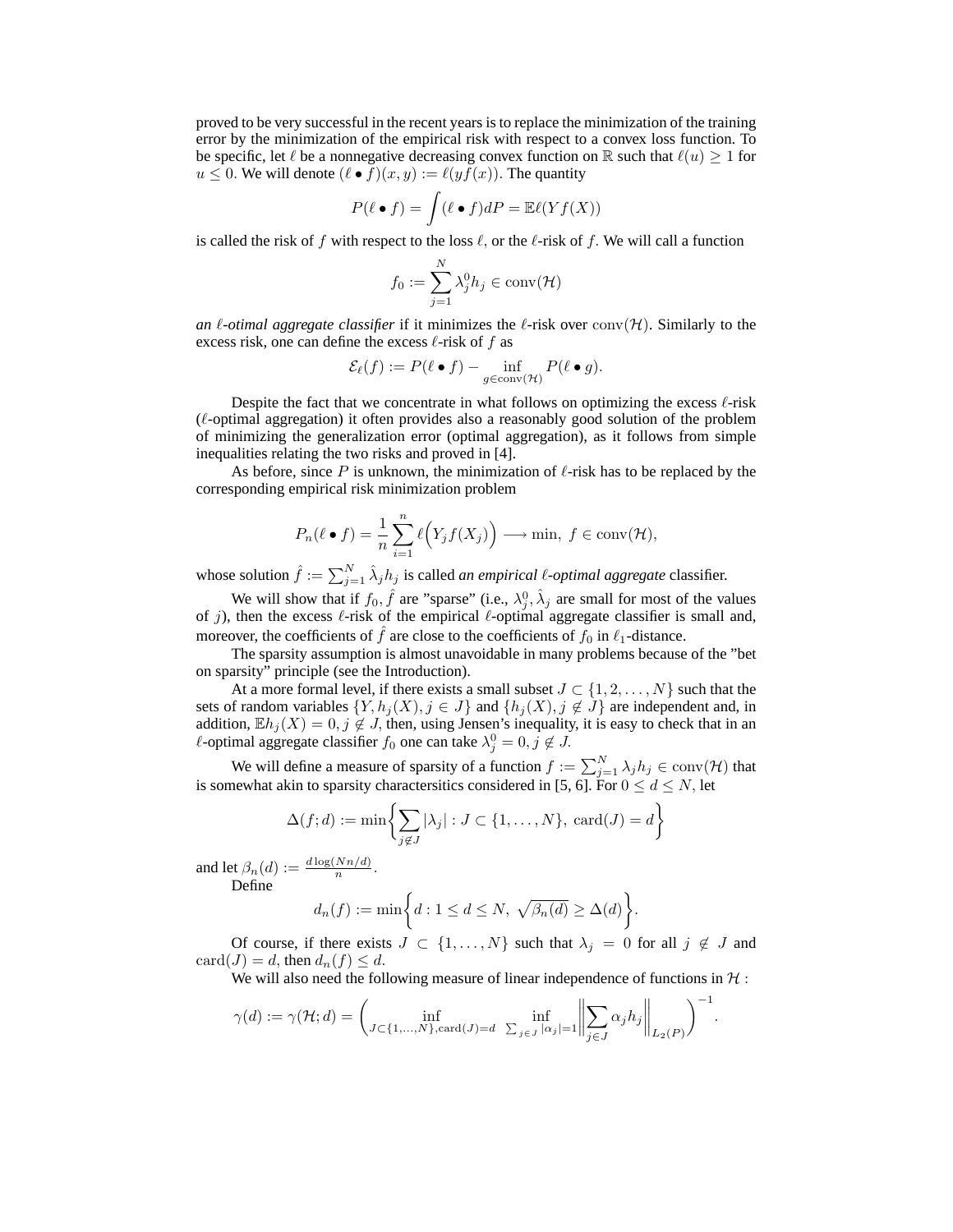proved to be very successful in the recent years is to replace the minimization of the training error by the minimization of the empirical risk with respect to a convex loss function. To be specific, let  $\ell$  be a nonnegative decreasing convex function on R such that  $\ell(u) \geq 1$  for  $u \leq 0$ . We will denote  $(\ell \bullet f)(x, y) := \ell(yf(x))$ . The quantity

$$
P(\ell \bullet f) = \int (\ell \bullet f) dP = \mathbb{E}\ell(Yf(X))
$$

is called the risk of f with respect to the loss  $\ell$ , or the  $\ell$ -risk of f. We will call a function

$$
f_0 := \sum_{j=1}^N \lambda_j^0 h_j \in \text{conv}(\mathcal{H})
$$

*an*  $\ell$ -*otimal aggregate classifier* if it minimizes the  $\ell$ -risk over conv $(\mathcal{H})$ . Similarly to the excess risk, one can define the excess  $\ell$ -risk of f as

$$
\mathcal{E}_{\ell}(f) := P(\ell \bullet f) - \inf_{g \in \text{conv}(\mathcal{H})} P(\ell \bullet g).
$$

Despite the fact that we concentrate in what follows on optimizing the excess  $\ell$ -risk  $(ℓ$ -optimal aggregation) it often provides also a reasonably good solution of the problem of minimizing the generalization error (optimal aggregation), as it follows from simple inequalities relating the two risks and proved in [4].

As before, since P is unknown, the minimization of  $\ell$ -risk has to be replaced by the corresponding empirical risk minimization problem

$$
P_n(\ell \bullet f) = \frac{1}{n} \sum_{i=1}^n \ell\Big(Y_j f(X_j)\Big) \longrightarrow \min, \ f \in \text{conv}(\mathcal{H}),
$$

whose solution  $\hat{f} := \sum_{j=1}^{N} \hat{\lambda}_j h_j$  is called *an empirical*  $\ell$ *-optimal aggregate* classifier.

We will show that if  $f_0$ ,  $\hat{f}$  are "sparse" (i.e.,  $\lambda_j^0$ ,  $\hat{\lambda}_j$  are small for most of the values of j), then the excess  $\ell$ -risk of the empirical  $\ell$ -optimal aggregate classifier is small and, moreover, the coefficients of f are close to the coefficients of  $f_0$  in  $\ell_1$ -distance.

The sparsity assumption is almost unavoidable in many problems because of the "bet on sparsity" principle (see the Introduction).

At a more formal level, if there exists a small subset  $J \subset \{1, 2, ..., N\}$  such that the sets of random variables  $\{Y, h_j(X), j \in J\}$  and  $\{h_j(X), j \notin J\}$  are independent and, in addition,  $\mathbb{E}h_j(X) = 0, j \notin J$ , then, using Jensen's inequality, it is easy to check that in an  $\ell$ -optimal aggregate classifier  $f_0$  one can take  $\lambda_j^0 = 0, j \notin J$ .

We will define a measure of sparsity of a function  $f := \sum_{j=1}^{N} \lambda_j h_j \in \text{conv}(\mathcal{H})$  that is somewhat akin to sparsity charactersitics considered in [5, 6]. For  $0 \le d \le N$ , let

$$
\Delta(f; d) := \min \left\{ \sum_{j \notin J} |\lambda_j| : J \subset \{1, ..., N\}, \text{ card}(J) = d \right\}
$$

and let  $\beta_n(d) := \frac{d \log(Nn/d)}{n}$ . Define

$$
d_n(f) := \min\bigg\{d : 1 \leq d \leq N, \sqrt{\beta_n(d)} \geq \Delta(d)\bigg\}.
$$

Of course, if there exists  $J \subset \{1, \ldots, N\}$  such that  $\lambda_j = 0$  for all  $j \notin J$  and  $card(J) = d$ , then  $d_n(f) \leq d$ .

We will also need the following measure of linear independence of functions in  $\mathcal{H}$ :

.

$$
\gamma(d) := \gamma(\mathcal{H}; d) = \left(\inf_{J \subset \{1, \dots, N\}, \text{card}(J) = d} \left\| \sum_{j \in J} \alpha_j h_j \right\|_{L_2(P)} \right)^{-1}
$$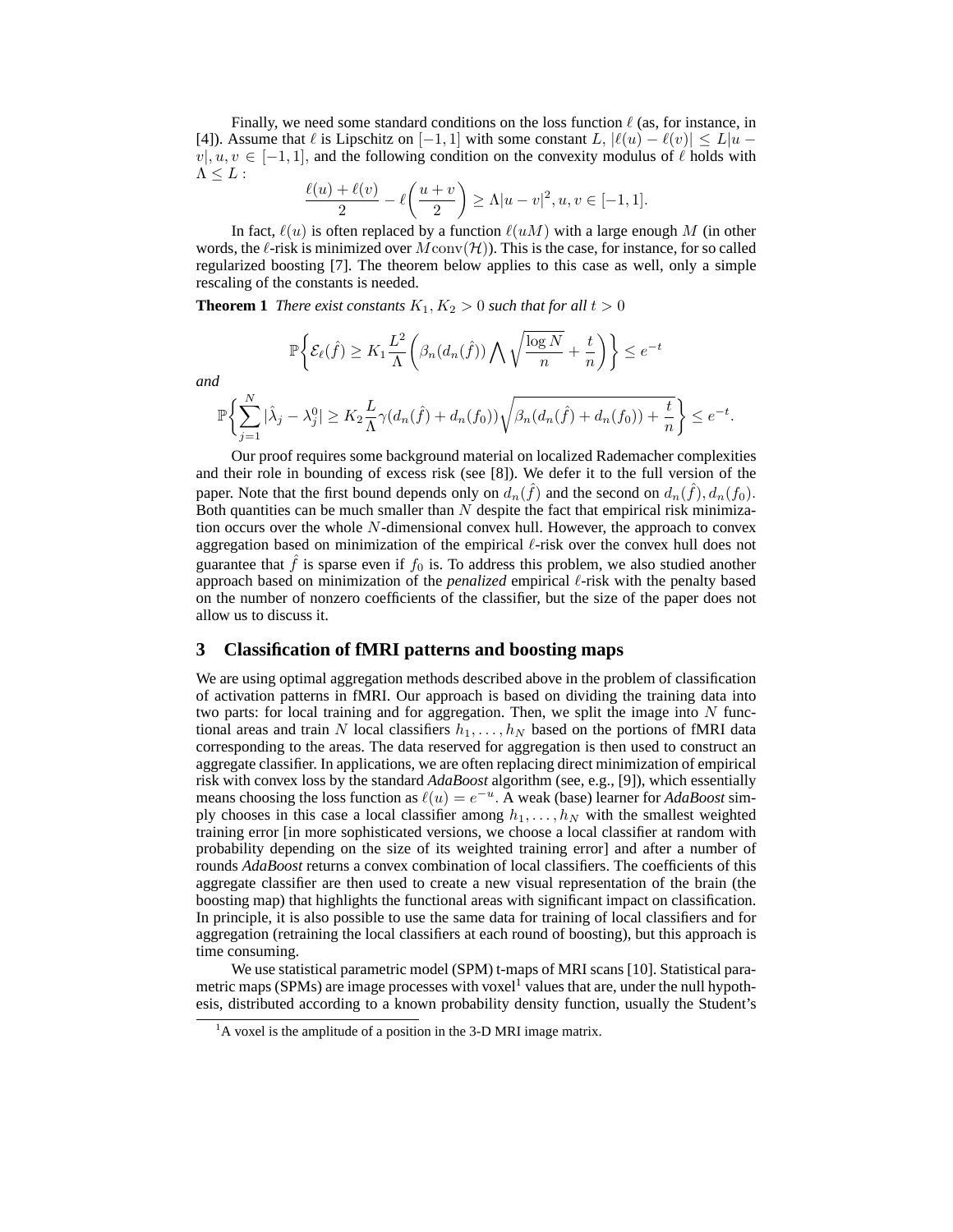Finally, we need some standard conditions on the loss function  $\ell$  (as, for instance, in [4]). Assume that  $\ell$  is Lipschitz on  $[-1, 1]$  with some constant  $L$ ,  $|\ell(u) - \ell(v)| \le L|u - \ell(v)|$  $v|, u, v \in [-1, 1]$ , and the following condition on the convexity modulus of  $\ell$  holds with  $\Lambda \leq L$  :

$$
\frac{\ell(u)+\ell(v)}{2}-\ell\left(\frac{u+v}{2}\right)\geq \Lambda|u-v|^2, u, v\in [-1,1].
$$

In fact,  $\ell(u)$  is often replaced by a function  $\ell(uM)$  with a large enough M (in other words, the  $\ell$ -risk is minimized over  $M\text{conv}(\mathcal{H})$ ). This is the case, for instance, for so called regularized boosting [7]. The theorem below applies to this case as well, only a simple rescaling of the constants is needed.

**Theorem 1** *There exist constants*  $K_1, K_2 > 0$  *such that for all*  $t > 0$ 

$$
\mathbb{P}\bigg\{\mathcal{E}_{\ell}(\hat{f}) \geq K_1 \frac{L^2}{\Lambda} \bigg(\beta_n(d_n(\hat{f})) \bigwedge \sqrt{\frac{\log N}{n}} + \frac{t}{n}\bigg)\bigg\} \leq e^{-t}
$$
\n
$$
\mathbb{P}\bigg\{\sum_{i=1}^N |\hat{\lambda}_j - \lambda_j^0| \geq K_2 \frac{L}{\Lambda} \gamma(d_n(\hat{f}) + d_n(f_0)) \sqrt{\beta_n(d_n(\hat{f}) + d_n(f_0)) + \frac{t}{n}}\bigg\} \leq e^{-t}.
$$

*and*

 $j=1$ 

Our proof requires some background material on localized Rademacher complexities  
and their role in bounding of excess risk (see [8]). We defer it to the full version of the  
paper. Note that the first bound depends only on 
$$
d_n(\hat{f})
$$
 and the second on  $d_n(\hat{f})$ ,  $d_n(f_0)$ .  
Both quantities can be much smaller than N despite the fact that empirical risk minimiza-  
tion occurs over the whole N-dimensional convex hull. However, the approach to convex  
aggregation based on minimization of the empirical  $\ell$ -risk over the convex hull does not  
guarantee that  $\hat{f}$  is sparse even if  $f_0$  is. To address this problem, we also studied another  
approach based on minimization of the *penalized* empirical  $\ell$ -risk with the penalty based  
on the number of nonzero coefficients of the classifier, but the size of the paper does not  
allow us to discuss it.

# **3 Classification of fMRI patterns and boosting maps**

We are using optimal aggregation methods described above in the problem of classification of activation patterns in fMRI. Our approach is based on dividing the training data into two parts: for local training and for aggregation. Then, we split the image into  $N$  functional areas and train N local classifiers  $h_1, \ldots, h_N$  based on the portions of fMRI data corresponding to the areas. The data reserved for aggregation is then used to construct an aggregate classifier. In applications, we are often replacing direct minimization of empirical risk with convex loss by the standard *AdaBoost* algorithm (see, e.g., [9]), which essentially means choosing the loss function as  $\ell(u) = e^{-u}$ . A weak (base) learner for *AdaBoost* simply chooses in this case a local classifier among  $h_1, \ldots, h_N$  with the smallest weighted training error [in more sophisticated versions, we choose a local classifier at random with probability depending on the size of its weighted training error] and after a number of rounds *AdaBoost* returns a convex combination of local classifiers. The coefficients of this aggregate classifier are then used to create a new visual representation of the brain (the boosting map) that highlights the functional areas with significant impact on classification. In principle, it is also possible to use the same data for training of local classifiers and for aggregation (retraining the local classifiers at each round of boosting), but this approach is time consuming.

We use statistical parametric model (SPM) t-maps of MRI scans [10]. Statistical parametric maps (SPMs) are image processes with voxel<sup>1</sup> values that are, under the null hypothesis, distributed according to a known probability density function, usually the Student's

 $<sup>1</sup>A$  voxel is the amplitude of a position in the 3-D MRI image matrix.</sup>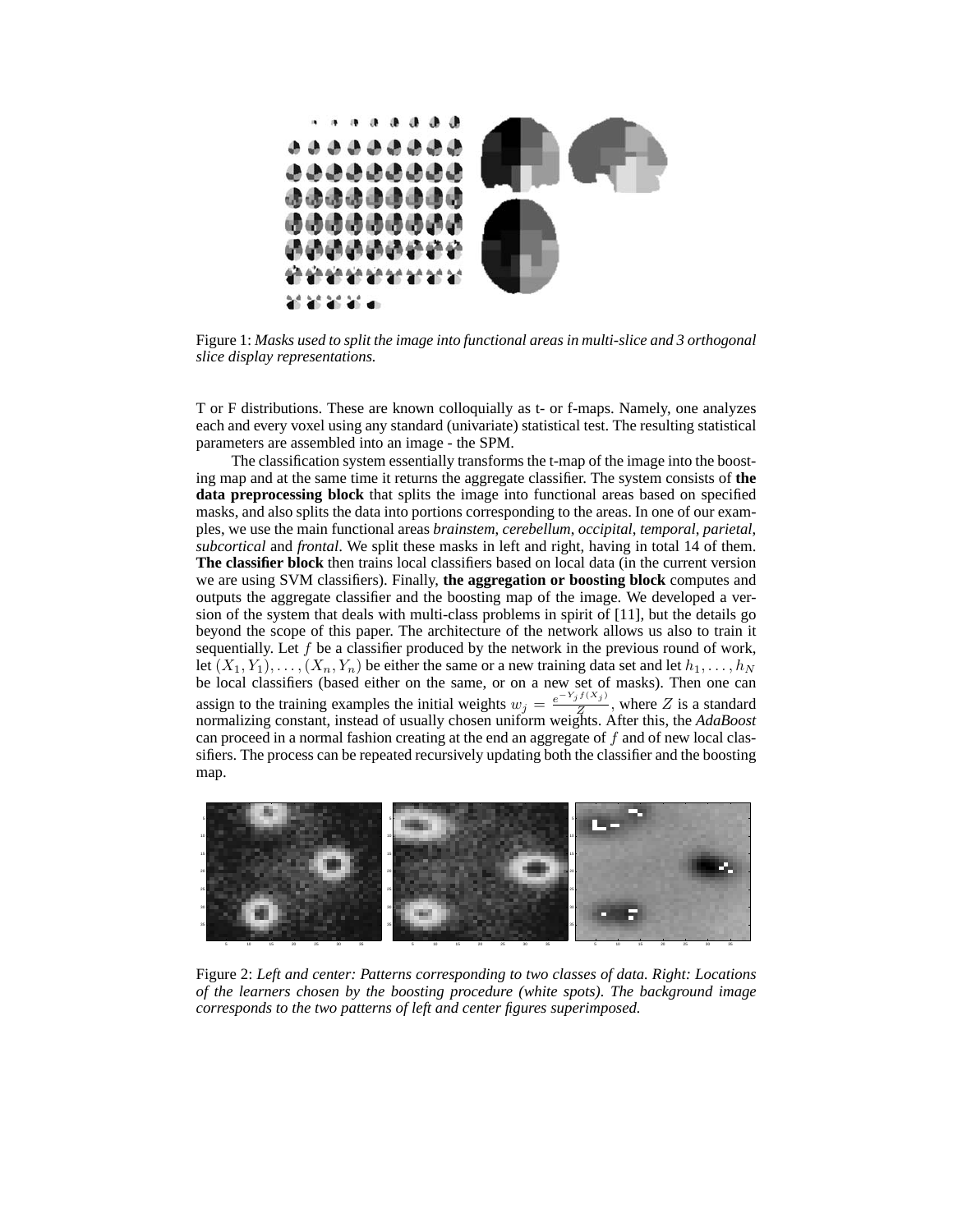

Figure 1: *Masks used to split the image into functional areas in multi-slice and 3 orthogonal slice display representations.*

T or F distributions. These are known colloquially as t- or f-maps. Namely, one analyzes each and every voxel using any standard (univariate) statistical test. The resulting statistical parameters are assembled into an image - the SPM.

The classification system essentially transforms the t-map of the image into the boosting map and at the same time it returns the aggregate classifier. The system consists of **the data preprocessing block** that splits the image into functional areas based on specified masks, and also splits the data into portions corresponding to the areas. In one of our examples, we use the main functional areas *brainstem*, *cerebellum*, *occipital*, *temporal*, *parietal*, *subcortical* and *frontal*. We split these masks in left and right, having in total 14 of them. **The classifier block** then trains local classifiers based on local data (in the current version we are using SVM classifiers). Finally, **the aggregation or boosting block** computes and outputs the aggregate classifier and the boosting map of the image. We developed a version of the system that deals with multi-class problems in spirit of [11], but the details go beyond the scope of this paper. The architecture of the network allows us also to train it sequentially. Let  $f$  be a classifier produced by the network in the previous round of work, let  $(X_1, Y_1), \ldots, (X_n, Y_n)$  be either the same or a new training data set and let  $h_1, \ldots, h_N$ be local classifiers (based either on the same, or on a new set of masks). Then one can assign to the training examples the initial weights  $w_j = \frac{e^{-Y_j f(X_j)}}{Z}$  $\frac{Z}{Z}$ , where Z is a standard normalizing constant, instead of usually chosen uniform weights. After this, the *AdaBoost* can proceed in a normal fashion creating at the end an aggregate of f and of new local classifiers. The process can be repeated recursively updating both the classifier and the boosting map.



Figure 2: *Left and center: Patterns corresponding to two classes of data. Right: Locations of the learners chosen by the boosting procedure (white spots). The background image corresponds to the two patterns of left and center figures superimposed.*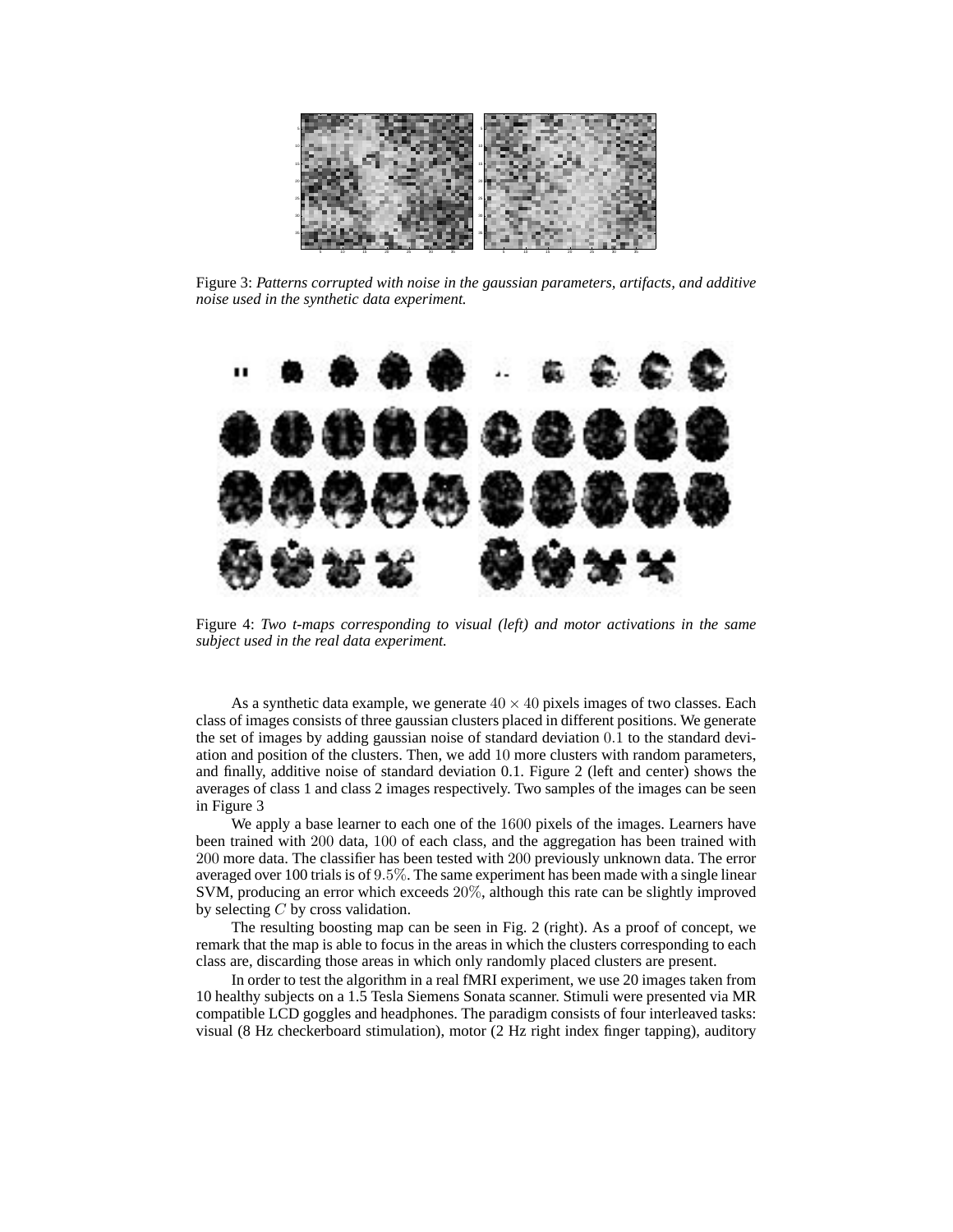

Figure 3: *Patterns corrupted with noise in the gaussian parameters, artifacts, and additive noise used in the synthetic data experiment.*



Figure 4: *Two t-maps corresponding to visual (left) and motor activations in the same subject used in the real data experiment.*

As a synthetic data example, we generate  $40 \times 40$  pixels images of two classes. Each class of images consists of three gaussian clusters placed in different positions. We generate the set of images by adding gaussian noise of standard deviation 0.1 to the standard deviation and position of the clusters. Then, we add 10 more clusters with random parameters, and finally, additive noise of standard deviation 0.1. Figure 2 (left and center) shows the averages of class 1 and class 2 images respectively. Two samples of the images can be seen in Figure 3

We apply a base learner to each one of the 1600 pixels of the images. Learners have been trained with 200 data, 100 of each class, and the aggregation has been trained with 200 more data. The classifier has been tested with 200 previously unknown data. The error averaged over 100 trials is of 9.5%. The same experiment has been made with a single linear SVM, producing an error which exceeds 20%, although this rate can be slightly improved by selecting  $C$  by cross validation.

The resulting boosting map can be seen in Fig. 2 (right). As a proof of concept, we remark that the map is able to focus in the areas in which the clusters corresponding to each class are, discarding those areas in which only randomly placed clusters are present.

In order to test the algorithm in a real fMRI experiment, we use 20 images taken from 10 healthy subjects on a 1.5 Tesla Siemens Sonata scanner. Stimuli were presented via MR compatible LCD goggles and headphones. The paradigm consists of four interleaved tasks: visual (8 Hz checkerboard stimulation), motor (2 Hz right index finger tapping), auditory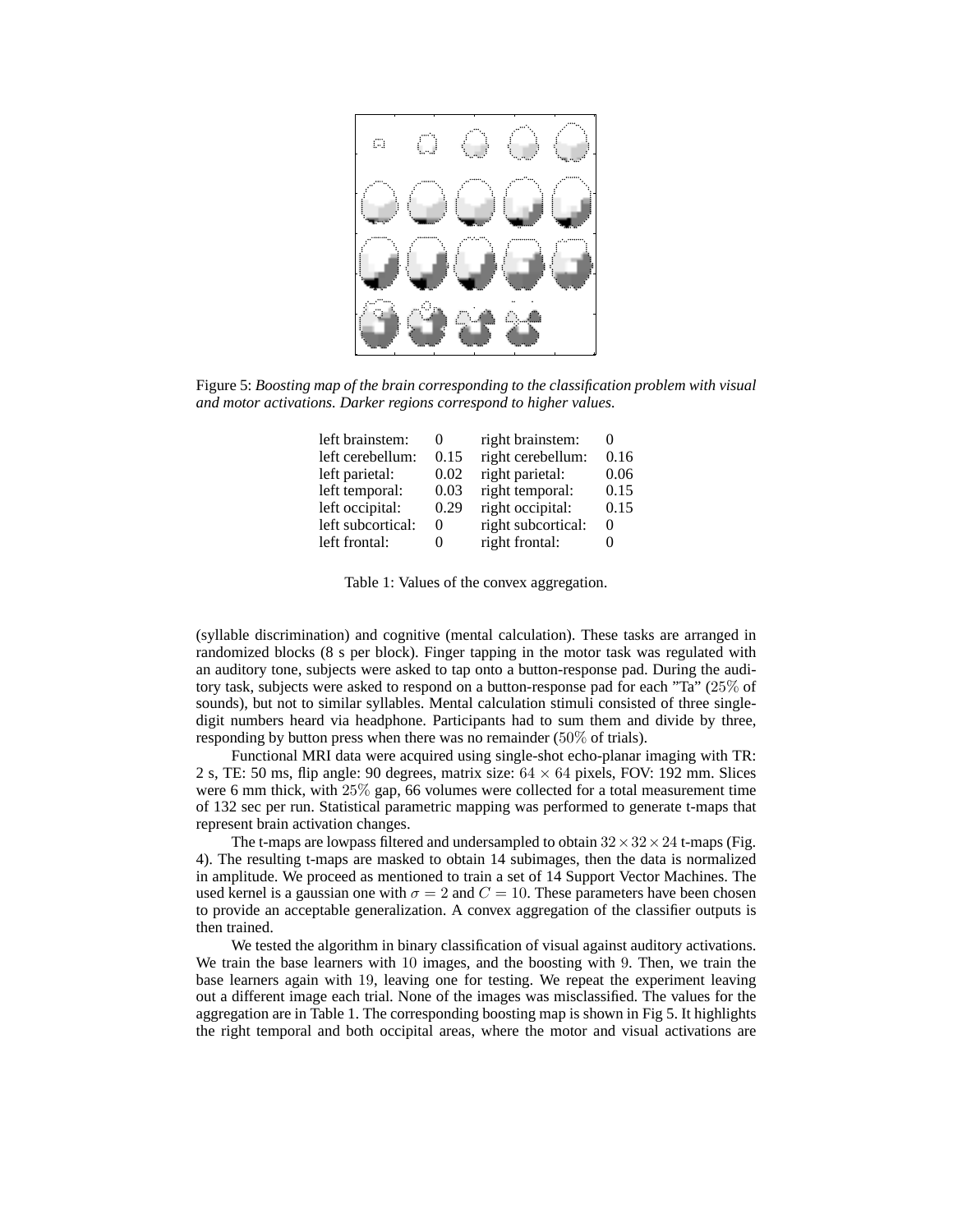

Figure 5: *Boosting map of the brain corresponding to the classification problem with visual and motor activations. Darker regions correspond to higher values.*

| left brainstem:   | $^{(1)}$ | right brainstem:   | $\mathbf{\Omega}$ |
|-------------------|----------|--------------------|-------------------|
| left cerebellum:  | 0.15     | right cerebellum:  | 0.16              |
| left parietal:    | 0.02     | right parietal:    | 0.06              |
| left temporal:    | 0.03     | right temporal:    | 0.15              |
| left occipital:   | 0.29     | right occipital:   | 0.15              |
| left subcortical: | 0        | right subcortical: | $\theta$          |
| left frontal:     | 0        | right frontal:     |                   |

Table 1: Values of the convex aggregation.

(syllable discrimination) and cognitive (mental calculation). These tasks are arranged in randomized blocks (8 s per block). Finger tapping in the motor task was regulated with an auditory tone, subjects were asked to tap onto a button-response pad. During the auditory task, subjects were asked to respond on a button-response pad for each "Ta" (25% of sounds), but not to similar syllables. Mental calculation stimuli consisted of three singledigit numbers heard via headphone. Participants had to sum them and divide by three, responding by button press when there was no remainder (50% of trials).

Functional MRI data were acquired using single-shot echo-planar imaging with TR: 2 s, TE: 50 ms, flip angle: 90 degrees, matrix size:  $64 \times 64$  pixels, FOV: 192 mm. Slices were 6 mm thick, with 25% gap, 66 volumes were collected for a total measurement time of 132 sec per run. Statistical parametric mapping was performed to generate t-maps that represent brain activation changes.

The t-maps are lowpass filtered and undersampled to obtain  $32 \times 32 \times 24$  t-maps (Fig. 4). The resulting t-maps are masked to obtain 14 subimages, then the data is normalized in amplitude. We proceed as mentioned to train a set of 14 Support Vector Machines. The used kernel is a gaussian one with  $\sigma = 2$  and  $C = 10$ . These parameters have been chosen to provide an acceptable generalization. A convex aggregation of the classifier outputs is then trained.

We tested the algorithm in binary classification of visual against auditory activations. We train the base learners with 10 images, and the boosting with 9. Then, we train the base learners again with 19, leaving one for testing. We repeat the experiment leaving out a different image each trial. None of the images was misclassified. The values for the aggregation are in Table 1. The corresponding boosting map is shown in Fig 5. It highlights the right temporal and both occipital areas, where the motor and visual activations are